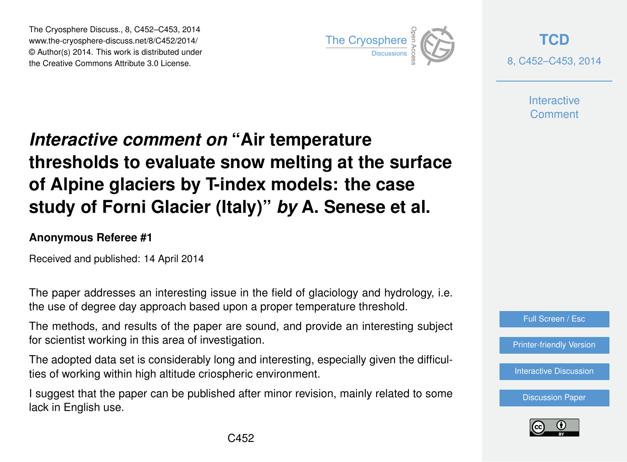The Cryosphere Discuss., 8, C452–C453, 2014 www.the-cryosphere-discuss.net/8/C452/2014/ © Author(s) 2014. This work is distributed under The Cryosphere Discuss., 8, C452–C453, 2014<br>
www.the-cryosphere-discuss.net/8/C452/2014/<br>
© Author(s) 2014. This work is distributed under<br>
the Creative Commons Attribute 3.0 License.



**[TCD](http://www.the-cryosphere-discuss.net)** 8, C452–C453, 2014

> **Interactive** Comment

## *Interactive comment on* **"Air temperature thresholds to evaluate snow melting at the surface of Alpine glaciers by T-index models: the case study of Forni Glacier (Italy)"** *by* **A. Senese et al.**

## **Anonymous Referee #1**

Received and published: 14 April 2014

The paper addresses an interesting issue in the field of glaciology and hydrology, i.e. the use of degree day approach based upon a proper temperature threshold.

The methods, and results of the paper are sound, and provide an interesting subject for scientist working in this area of investigation.

The adopted data set is considerably long and interesting, especially given the difficulties of working within high altitude criospheric environment.

I suggest that the paper can be published after minor revision, mainly related to some lack in English use.



[Printer-friendly Version](http://www.the-cryosphere-discuss.net/8/C452/2014/tcd-8-C452-2014-print.pdf)

[Interactive Discussion](http://www.the-cryosphere-discuss.net/8/1563/2014/tcd-8-1563-2014-discussion.html)

[Discussion Paper](http://www.the-cryosphere-discuss.net/8/1563/2014/tcd-8-1563-2014.pdf)